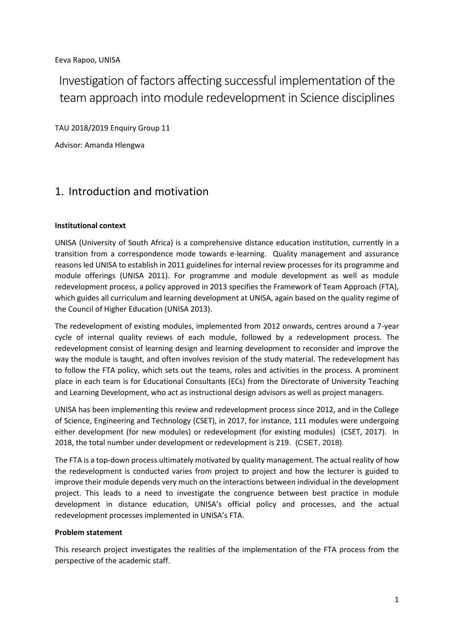Eeva Rapoo, UNISA

Investigation of factors affecting successful implementation of the team approach into module redevelopment in Science disciplines

TAU 2018/2019 Enquiry Group 11

Advisor: Amanda Hlengwa

# 1. Introduction and motivation

#### **Institutional context**

UNISA (University of South Africa) is a comprehensive distance education institution, currently in a transition from a correspondence mode towards e-learning. Quality management and assurance reasons led UNISA to establish in 2011 guidelines for internal review processes for its programme and module offerings (UNISA 2011). For programme and module development as well as module redevelopment process, a policy approved in 2013 specifies the Framework of Team Approach (FTA), which guides all curriculum and learning development at UNISA, again based on the quality regime of the Council of Higher Education (UNISA 2013).

The redevelopment of existing modules, implemented from 2012 onwards, centres around a 7-year cycle of internal quality reviews of each module, followed by a redevelopment process. The redevelopment consist of learning design and learning development to reconsider and improve the way the module is taught, and often involves revision of the study material. The redevelopment has to follow the FTA policy, which sets out the teams, roles and activities in the process. A prominent place in each team is for Educational Consultants (ECs) from the Directorate of University Teaching and Learning Development, who act as instructional design advisors as well as project managers.

UNISA has been implementing this review and redevelopment process since 2012, and in the College of Science, Engineering and Technology (CSET), in 2017, for instance, 111 modules were undergoing either development (for new modules) or redevelopment (for existing modules) (CSET, 2017). In 2018, the total number under development or redevelopment is 219. (CSET, 2018).

The FTA is a top-down process ultimately motivated by quality management. The actual reality of how the redevelopment is conducted varies from project to project and how the lecturer is guided to improve their module depends very much on the interactions between individual in the development project. This leads to a need to investigate the congruence between best practice in module development in distance education, UNISA's official policy and processes, and the actual redevelopment processes implemented in UNISA's FTA.

#### **Problem statement**

This research project investigates the realities of the implementation of the FTA process from the perspective of the academic staff.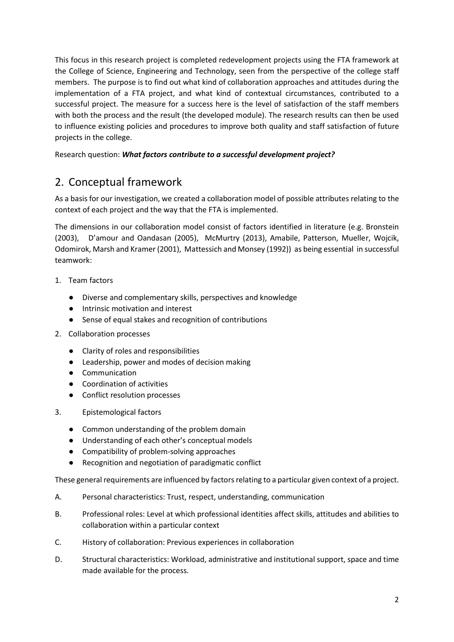This focus in this research project is completed redevelopment projects using the FTA framework at the College of Science, Engineering and Technology, seen from the perspective of the college staff members. The purpose is to find out what kind of collaboration approaches and attitudes during the implementation of a FTA project, and what kind of contextual circumstances, contributed to a successful project. The measure for a success here is the level of satisfaction of the staff members with both the process and the result (the developed module). The research results can then be used to influence existing policies and procedures to improve both quality and staff satisfaction of future projects in the college.

Research question: *What factors contribute to a successful development project?*

# 2. Conceptual framework

As a basis for our investigation, we created a collaboration model of possible attributes relating to the context of each project and the way that the FTA is implemented.

The dimensions in our collaboration model consist of factors identified in literature (e.g. Bronstein (2003), D'amour and Oandasan (2005), McMurtry (2013), Amabile, Patterson, Mueller, Wojcik, Odomirok, Marsh and Kramer (2001), Mattessich and Monsey (1992)) as being essential in successful teamwork:

- 1. Team factors
	- Diverse and complementary skills, perspectives and knowledge
	- Intrinsic motivation and interest
	- Sense of equal stakes and recognition of contributions
- 2. Collaboration processes
	- Clarity of roles and responsibilities
	- Leadership, power and modes of decision making
	- Communication
	- Coordination of activities
	- Conflict resolution processes
- 3. Epistemological factors
	- Common understanding of the problem domain
	- Understanding of each other's conceptual models
	- Compatibility of problem-solving approaches
	- Recognition and negotiation of paradigmatic conflict

These general requirements are influenced by factors relating to a particular given context of a project.

- A. Personal characteristics: Trust, respect, understanding, communication
- B. Professional roles: Level at which professional identities affect skills, attitudes and abilities to collaboration within a particular context
- C. History of collaboration: Previous experiences in collaboration
- D. Structural characteristics: Workload, administrative and institutional support, space and time made available for the process.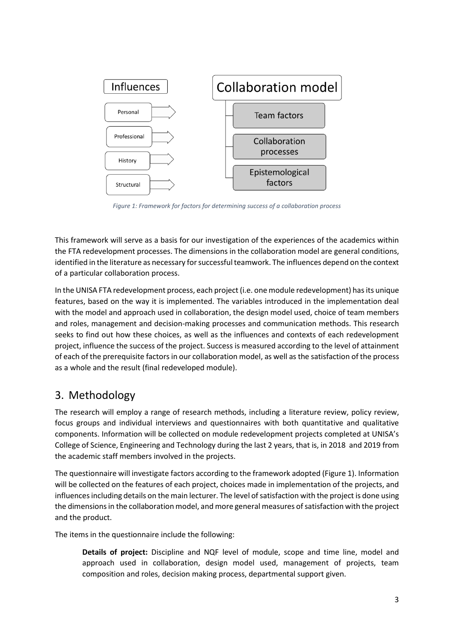

*Figure 1: Framework for factors for determining success of a collaboration process*

This framework will serve as a basis for our investigation of the experiences of the academics within the FTA redevelopment processes. The dimensions in the collaboration model are general conditions, identified in the literature as necessary for successful teamwork. The influences depend on the context of a particular collaboration process.

In the UNISA FTA redevelopment process, each project (i.e. one module redevelopment) has its unique features, based on the way it is implemented. The variables introduced in the implementation deal with the model and approach used in collaboration, the design model used, choice of team members and roles, management and decision-making processes and communication methods. This research seeks to find out how these choices, as well as the influences and contexts of each redevelopment project, influence the success of the project. Success is measured according to the level of attainment of each of the prerequisite factors in our collaboration model, as well as the satisfaction of the process as a whole and the result (final redeveloped module).

## 3. Methodology

The research will employ a range of research methods, including a literature review, policy review, focus groups and individual interviews and questionnaires with both quantitative and qualitative components. Information will be collected on module redevelopment projects completed at UNISA's College of Science, Engineering and Technology during the last 2 years, that is, in 2018 and 2019 from the academic staff members involved in the projects.

The questionnaire will investigate factors according to the framework adopted (Figure 1). Information will be collected on the features of each project, choices made in implementation of the projects, and influences including details on the main lecturer. The level of satisfaction with the project is done using the dimensions in the collaboration model, and more general measures of satisfaction with the project and the product.

The items in the questionnaire include the following:

**Details of project:** Discipline and NQF level of module, scope and time line, model and approach used in collaboration, design model used, management of projects, team composition and roles, decision making process, departmental support given.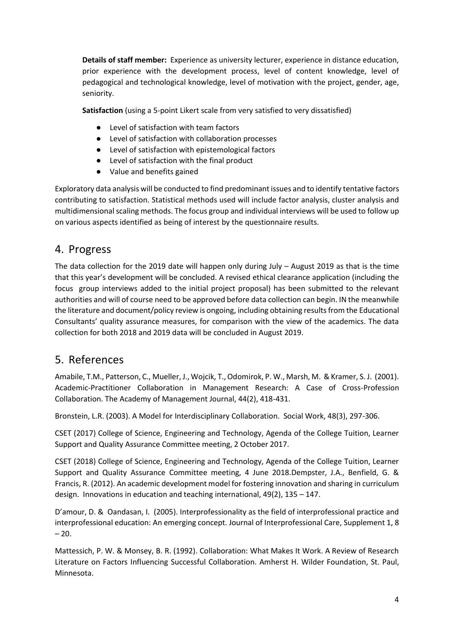**Details of staff member:** Experience as university lecturer, experience in distance education, prior experience with the development process, level of content knowledge, level of pedagogical and technological knowledge, level of motivation with the project, gender, age, seniority.

**Satisfaction** (using a 5-point Likert scale from very satisfied to very dissatisfied)

- Level of satisfaction with team factors
- Level of satisfaction with collaboration processes
- Level of satisfaction with epistemological factors
- Level of satisfaction with the final product
- Value and benefits gained

Exploratory data analysis will be conducted to find predominant issues and to identify tentative factors contributing to satisfaction. Statistical methods used will include factor analysis, cluster analysis and multidimensional scaling methods. The focus group and individual interviews will be used to follow up on various aspects identified as being of interest by the questionnaire results.

### 4. Progress

The data collection for the 2019 date will happen only during July – August 2019 as that is the time that this year's development will be concluded. A revised ethical clearance application (including the focus group interviews added to the initial project proposal) has been submitted to the relevant authorities and will of course need to be approved before data collection can begin. IN the meanwhile the literature and document/policy review is ongoing, including obtaining results from the Educational Consultants' quality assurance measures, for comparison with the view of the academics. The data collection for both 2018 and 2019 data will be concluded in August 2019.

### 5. References

Amabile, T.M., Patterson, C., Mueller, J., Wojcik, T., Odomirok, P. W., Marsh, M. & Kramer, S. J. (2001). Academic-Practitioner Collaboration in Management Research: A Case of Cross-Profession Collaboration. The Academy of Management Journal, 44(2), 418-431.

Bronstein, L.R. (2003). A Model for Interdisciplinary Collaboration. Social Work, 48(3), 297-306.

CSET (2017) College of Science, Engineering and Technology, Agenda of the College Tuition, Learner Support and Quality Assurance Committee meeting, 2 October 2017.

CSET (2018) College of Science, Engineering and Technology, Agenda of the College Tuition, Learner Support and Quality Assurance Committee meeting, 4 June 2018.Dempster, J.A., Benfield, G. & Francis, R. (2012). An academic development model for fostering innovation and sharing in curriculum design. Innovations in education and teaching international, 49(2), 135 – 147.

D'amour, D. & Oandasan, I. (2005). Interprofessionality as the field of interprofessional practice and interprofessional education: An emerging concept. Journal of Interprofessional Care, Supplement 1, 8  $-20.$ 

Mattessich, P. W. & Monsey, B. R. (1992). Collaboration: What Makes It Work. A Review of Research Literature on Factors Influencing Successful Collaboration. Amherst H. Wilder Foundation, St. Paul, Minnesota.